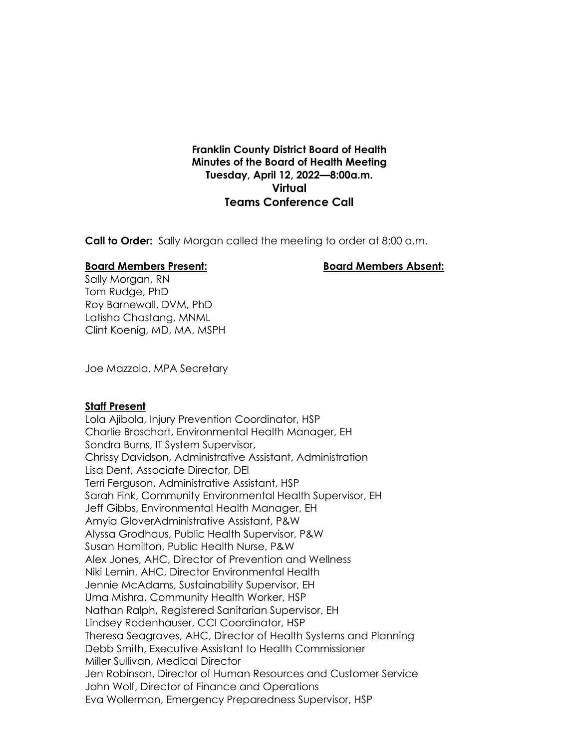# **Franklin County District Board of Health Minutes of the Board of Health Meeting Tuesday, April 12, 2022—8:00a.m. Virtual Teams Conference Call**

**Call to Order:** Sally Morgan called the meeting to order at 8:00 a.m.

### **Board Members Present: Board Members Absent:**

Sally Morgan, RN Tom Rudge, PhD Roy Barnewall, DVM, PhD Latisha Chastang, MNML Clint Koenig, MD, MA, MSPH

Joe Mazzola, MPA Secretary

### **Staff Present**

Lola Ajibola, Injury Prevention Coordinator, HSP Charlie Broschart, Environmental Health Manager, EH Sondra Burns, IT System Supervisor, Chrissy Davidson, Administrative Assistant, Administration Lisa Dent, Associate Director, DEI Terri Ferguson, Administrative Assistant, HSP Sarah Fink, Community Environmental Health Supervisor, EH Jeff Gibbs, Environmental Health Manager, EH Amyia GloverAdministrative Assistant, P&W Alyssa Grodhaus, Public Health Supervisor, P&W Susan Hamilton, Public Health Nurse, P&W Alex Jones, AHC, Director of Prevention and Wellness Niki Lemin, AHC, Director Environmental Health Jennie McAdams, Sustainability Supervisor, EH Uma Mishra, Community Health Worker, HSP Nathan Ralph, Registered Sanitarian Supervisor, EH Lindsey Rodenhauser, CCI Coordinator, HSP Theresa Seagraves, AHC, Director of Health Systems and Planning Debb Smith, Executive Assistant to Health Commissioner Miller Sullivan, Medical Director Jen Robinson, Director of Human Resources and Customer Service John Wolf, Director of Finance and Operations Eva Wollerman, Emergency Preparedness Supervisor, HSP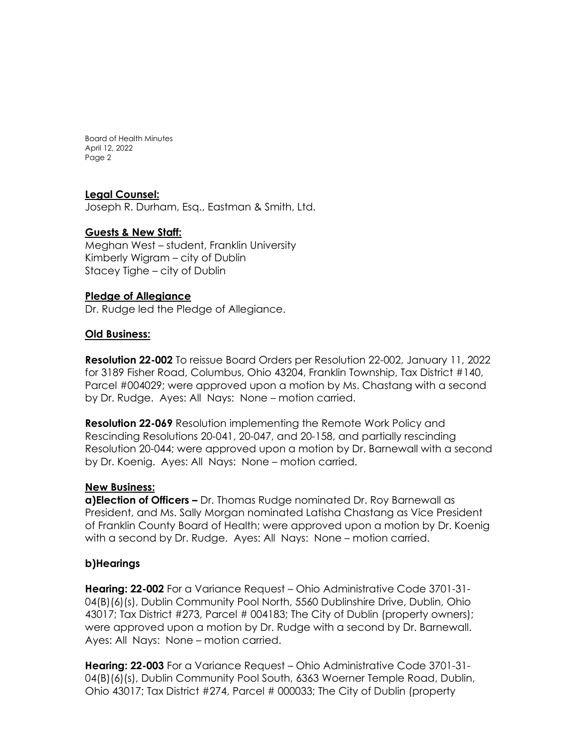# **Legal Counsel:**

Joseph R. Durham, Esq., Eastman & Smith, Ltd.

## **Guests & New Staff:**

Meghan West – student, Franklin University Kimberly Wigram – city of Dublin Stacey Tighe – city of Dublin

## **Pledge of Allegiance**

Dr. Rudge led the Pledge of Allegiance.

## **Old Business:**

**Resolution 22-002** To reissue Board Orders per Resolution 22-002, January 11, 2022 for 3189 Fisher Road, Columbus, Ohio 43204, Franklin Township, Tax District #140, Parcel #004029; were approved upon a motion by Ms. Chastang with a second by Dr. Rudge. Ayes: All Nays: None – motion carried.

**Resolution 22-069** Resolution implementing the Remote Work Policy and Rescinding Resolutions 20-041, 20-047, and 20-158, and partially rescinding Resolution 20-044; were approved upon a motion by Dr. Barnewall with a second by Dr. Koenig. Ayes: All Nays: None – motion carried.

### **New Business:**

**a)Election of Officers –** Dr. Thomas Rudge nominated Dr. Roy Barnewall as President, and Ms. Sally Morgan nominated Latisha Chastang as Vice President of Franklin County Board of Health; were approved upon a motion by Dr. Koenig with a second by Dr. Rudge. Ayes: All Nays: None – motion carried.

## **b)Hearings**

**Hearing: 22-002** For a Variance Request – Ohio Administrative Code 3701-31- 04(B)(6)(s), Dublin Community Pool North, 5560 Dublinshire Drive, Dublin, Ohio 43017; Tax District #273, Parcel # 004183; The City of Dublin (property owners); were approved upon a motion by Dr. Rudge with a second by Dr. Barnewall. Ayes: All Nays: None – motion carried.

**Hearing: 22-003** For a Variance Request – Ohio Administrative Code 3701-31- 04(B)(6)(s), Dublin Community Pool South, 6363 Woerner Temple Road, Dublin, Ohio 43017; Tax District #274, Parcel # 000033; The City of Dublin (property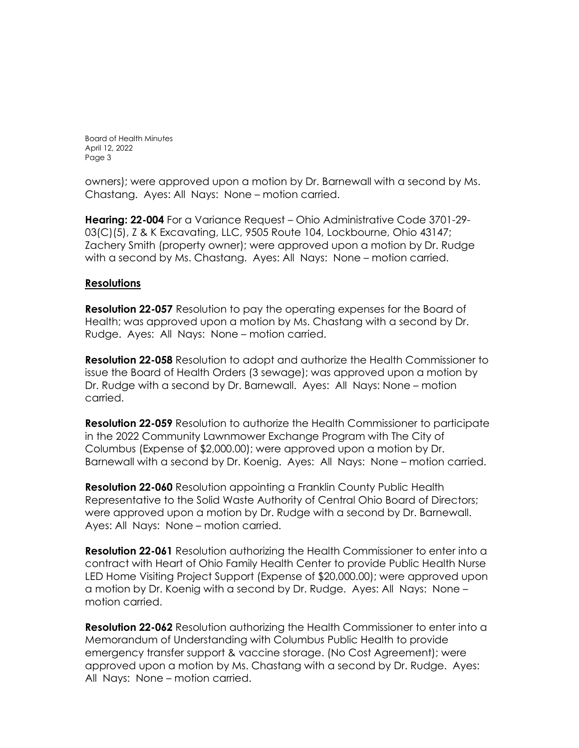owners); were approved upon a motion by Dr. Barnewall with a second by Ms. Chastang. Ayes: All Nays: None – motion carried.

**Hearing: 22-004** For a Variance Request – Ohio Administrative Code 3701-29- 03(C)(5), Z & K Excavating, LLC, 9505 Route 104, Lockbourne, Ohio 43147; Zachery Smith (property owner); were approved upon a motion by Dr. Rudge with a second by Ms. Chastang. Ayes: All Nays: None – motion carried.

## **Resolutions**

**Resolution 22-057** Resolution to pay the operating expenses for the Board of Health; was approved upon a motion by Ms. Chastang with a second by Dr. Rudge. Ayes: All Nays: None – motion carried.

**Resolution 22-058** Resolution to adopt and authorize the Health Commissioner to issue the Board of Health Orders (3 sewage); was approved upon a motion by Dr. Rudge with a second by Dr. Barnewall. Ayes: All Nays: None – motion carried.

**Resolution 22-059** Resolution to authorize the Health Commissioner to participate in the 2022 Community Lawnmower Exchange Program with The City of Columbus (Expense of \$2,000.00); were approved upon a motion by Dr. Barnewall with a second by Dr. Koenig. Ayes: All Nays: None – motion carried.

**Resolution 22-060** Resolution appointing a Franklin County Public Health Representative to the Solid Waste Authority of Central Ohio Board of Directors; were approved upon a motion by Dr. Rudge with a second by Dr. Barnewall. Ayes: All Nays: None – motion carried.

**Resolution 22-061** Resolution authorizing the Health Commissioner to enter into a contract with Heart of Ohio Family Health Center to provide Public Health Nurse LED Home Visiting Project Support (Expense of \$20,000.00); were approved upon a motion by Dr. Koenig with a second by Dr. Rudge. Ayes: All Nays: None – motion carried.

**Resolution 22-062** Resolution authorizing the Health Commissioner to enter into a Memorandum of Understanding with Columbus Public Health to provide emergency transfer support & vaccine storage. (No Cost Agreement); were approved upon a motion by Ms. Chastang with a second by Dr. Rudge. Ayes: All Nays: None – motion carried.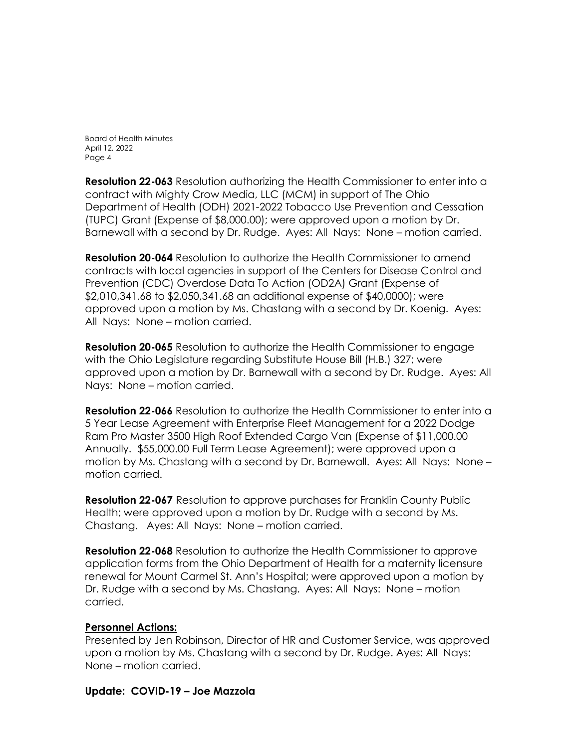**Resolution 22-063** Resolution authorizing the Health Commissioner to enter into a contract with Mighty Crow Media, LLC (MCM) in support of The Ohio Department of Health (ODH) 2021-2022 Tobacco Use Prevention and Cessation (TUPC) Grant (Expense of \$8,000.00); were approved upon a motion by Dr. Barnewall with a second by Dr. Rudge. Ayes: All Nays: None – motion carried.

**Resolution 20-064** Resolution to authorize the Health Commissioner to amend contracts with local agencies in support of the Centers for Disease Control and Prevention (CDC) Overdose Data To Action (OD2A) Grant (Expense of \$2,010,341.68 to \$2,050,341.68 an additional expense of \$40,0000); were approved upon a motion by Ms. Chastang with a second by Dr. Koenig. Ayes: All Nays: None – motion carried.

**Resolution 20-065** Resolution to authorize the Health Commissioner to engage with the Ohio Legislature regarding Substitute House Bill (H.B.) 327; were approved upon a motion by Dr. Barnewall with a second by Dr. Rudge. Ayes: All Nays: None – motion carried.

**Resolution 22-066** Resolution to authorize the Health Commissioner to enter into a 5 Year Lease Agreement with Enterprise Fleet Management for a 2022 Dodge Ram Pro Master 3500 High Roof Extended Cargo Van (Expense of \$11,000.00 Annually. \$55,000.00 Full Term Lease Agreement); were approved upon a motion by Ms. Chastang with a second by Dr. Barnewall. Ayes: All Nays: None – motion carried.

**Resolution 22-067** Resolution to approve purchases for Franklin County Public Health; were approved upon a motion by Dr. Rudge with a second by Ms. Chastang. Ayes: All Nays: None – motion carried.

**Resolution 22-068** Resolution to authorize the Health Commissioner to approve application forms from the Ohio Department of Health for a maternity licensure renewal for Mount Carmel St. Ann's Hospital; were approved upon a motion by Dr. Rudge with a second by Ms. Chastang. Ayes: All Nays: None – motion carried.

## **Personnel Actions:**

Presented by Jen Robinson, Director of HR and Customer Service, was approved upon a motion by Ms. Chastang with a second by Dr. Rudge. Ayes: All Nays: None – motion carried.

## **Update: COVID-19 – Joe Mazzola**